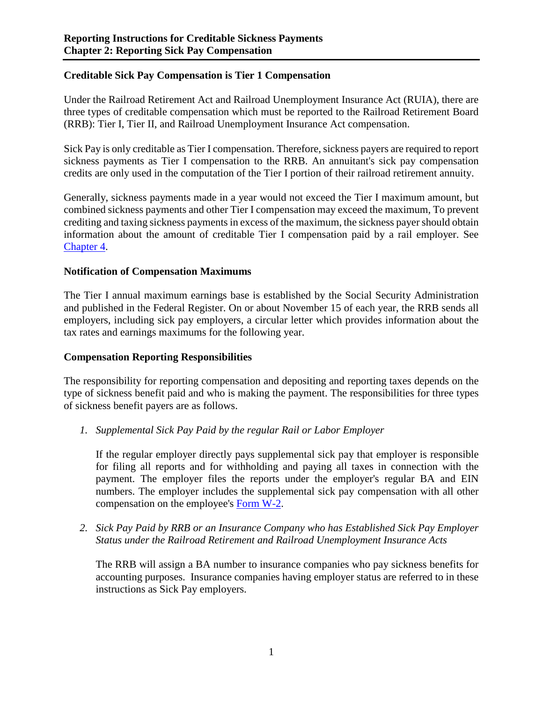## **Creditable Sick Pay Compensation is Tier 1 Compensation**

Under the Railroad Retirement Act and Railroad Unemployment Insurance Act (RUIA), there are three types of creditable compensation which must be reported to the Railroad Retirement Board (RRB): Tier I, Tier II, and Railroad Unemployment Insurance Act compensation.

Sick Pay is only creditable as Tier I compensation. Therefore, sickness payers are required to report sickness payments as Tier I compensation to the RRB. An annuitant's sick pay compensation credits are only used in the computation of the Tier I portion of their railroad retirement annuity.

Generally, sickness payments made in a year would not exceed the Tier I maximum amount, but combined sickness payments and other Tier I compensation may exceed the maximum, To prevent crediting and taxing sickness payments in excess of the maximum, the sickness payer should obtain information about the amount of creditable Tier I compensation paid by a rail employer. See Chapter 4.

#### **Notification of Compensation Maximums**

The Tier I annual maximum earnings base is established by the Social Security Administration and published in the Federal Register. On or about November 15 of each year, the RRB sends all employers, including sick pay employers, a circular letter which provides information about the tax rates and earnings maximums for the following year.

#### **Compensation Reporting Responsibilities**

The responsibility for reporting compensation and depositing and reporting taxes depends on the type of sickness benefit paid and who is making the payment. The responsibilities for three types of sickness benefit payers are as follows.

*1. Supplemental Sick Pay Paid by the regular Rail or Labor Employer*

If the regular employer directly pays supplemental sick pay that employer is responsible for filing all reports and for withholding and paying all taxes in connection with the payment. The employer files the reports under the employer's regular BA and EIN numbers. The employer includes the supplemental sick pay compensation with all other compensation on the employee's [Form W-2.](https://www.irs.gov/pub/irs-pdf/fw2.pdf)

*2. Sick Pay Paid by RRB or an Insurance Company who has Established Sick Pay Employer Status under the Railroad Retirement and Railroad Unemployment Insurance Acts*

The RRB will assign a BA number to insurance companies who pay sickness benefits for accounting purposes. Insurance companies having employer status are referred to in these instructions as Sick Pay employers.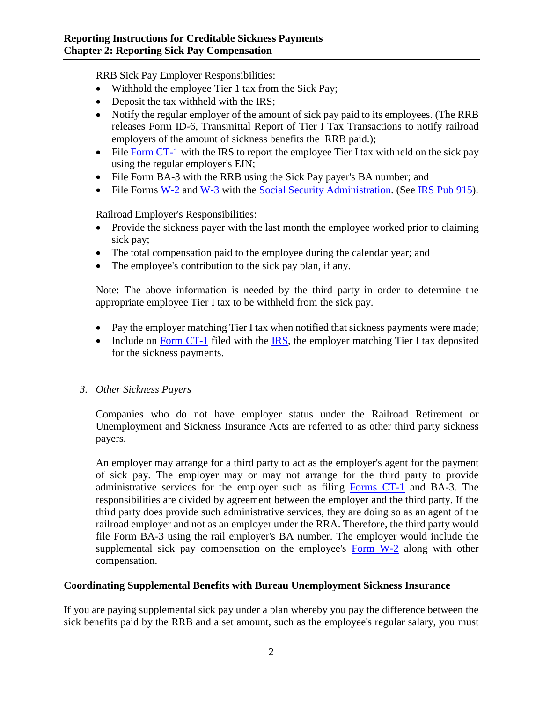RRB Sick Pay Employer Responsibilities:

- Withhold the employee Tier 1 tax from the Sick Pay;
- Deposit the tax withheld with the IRS;
- Notify the regular employer of the amount of sick pay paid to its employees. (The RRB releases Form ID-6, Transmittal Report of Tier I Tax Transactions to notify railroad employers of the amount of sickness benefits the RRB paid.);
- File [Form CT-1](https://www.irs.gov/pub/irs-pdf/fct1.pdf) with the IRS to report the employee Tier I tax withheld on the sick pay using the regular employer's EIN;
- File Form BA-3 with the RRB using the Sick Pay payer's BA number; and
- File Forms [W-2](https://www.irs.gov/pub/irs-pdf/fw2.pdf) and [W-3](https://www.irs.gov/pub/irs-pdf/fw3.pdf) with the [Social Security Administration.](https://www.ssa.gov/) (See [IRS Pub 915\)](https://www.irs.gov/pub/irs-pdf/p915.pdf).

Railroad Employer's Responsibilities:

- Provide the sickness payer with the last month the employee worked prior to claiming sick pay;
- The total compensation paid to the employee during the calendar year; and
- The employee's contribution to the sick pay plan, if any.

Note: The above information is needed by the third party in order to determine the appropriate employee Tier I tax to be withheld from the sick pay.

- Pay the employer matching Tier I tax when notified that sickness payments were made;
- Include on [Form CT-1](https://www.irs.gov/pub/irs-pdf/fct1.pdf) filed with the [IRS,](https://www.irs.gov/) the employer matching Tier I tax deposited for the sickness payments.

# *3. Other Sickness Payers*

Companies who do not have employer status under the Railroad Retirement or Unemployment and Sickness Insurance Acts are referred to as other third party sickness payers.

An employer may arrange for a third party to act as the employer's agent for the payment of sick pay. The employer may or may not arrange for the third party to provide administrative services for the employer such as filing [Forms CT-1](https://www.irs.gov/pub/irs-pdf/fct1.pdf) and BA-3. The responsibilities are divided by agreement between the employer and the third party. If the third party does provide such administrative services, they are doing so as an agent of the railroad employer and not as an employer under the RRA. Therefore, the third party would file Form BA-3 using the rail employer's BA number. The employer would include the supplemental sick pay compensation on the employee's [Form W-2](https://www.irs.gov/pub/irs-pdf/fw2.pdf) along with other compensation.

# **Coordinating Supplemental Benefits with Bureau Unemployment Sickness Insurance**

If you are paying supplemental sick pay under a plan whereby you pay the difference between the sick benefits paid by the RRB and a set amount, such as the employee's regular salary, you must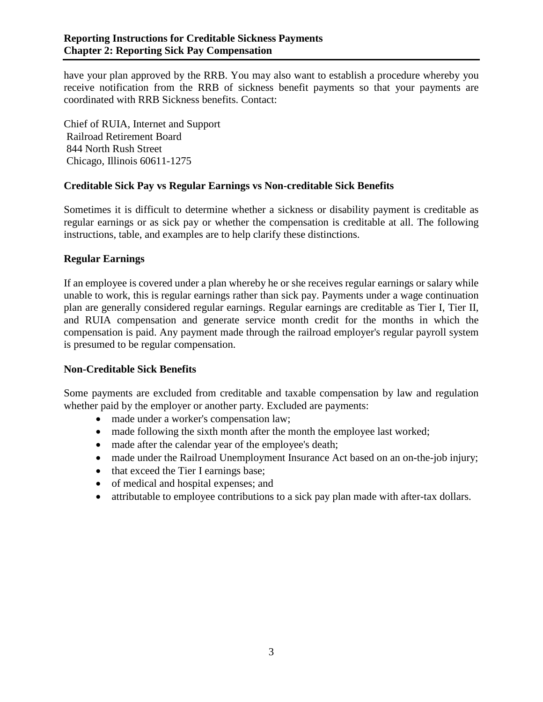have your plan approved by the RRB. You may also want to establish a procedure whereby you receive notification from the RRB of sickness benefit payments so that your payments are coordinated with RRB Sickness benefits. Contact:

Chief of RUIA, Internet and Support Railroad Retirement Board 844 North Rush Street Chicago, Illinois 60611-1275

## **Creditable Sick Pay vs Regular Earnings vs Non-creditable Sick Benefits**

Sometimes it is difficult to determine whether a sickness or disability payment is creditable as regular earnings or as sick pay or whether the compensation is creditable at all. The following instructions, table, and examples are to help clarify these distinctions.

## **Regular Earnings**

If an employee is covered under a plan whereby he or she receives regular earnings or salary while unable to work, this is regular earnings rather than sick pay. Payments under a wage continuation plan are generally considered regular earnings. Regular earnings are creditable as Tier I, Tier II, and RUIA compensation and generate service month credit for the months in which the compensation is paid. Any payment made through the railroad employer's regular payroll system is presumed to be regular compensation.

#### **Non-Creditable Sick Benefits**

Some payments are excluded from creditable and taxable compensation by law and regulation whether paid by the employer or another party. Excluded are payments:

- made under a worker's compensation law;
- made following the sixth month after the month the employee last worked;
- made after the calendar year of the employee's death;
- made under the Railroad Unemployment Insurance Act based on an on-the-job injury;
- that exceed the Tier I earnings base;
- of medical and hospital expenses; and
- attributable to employee contributions to a sick pay plan made with after-tax dollars.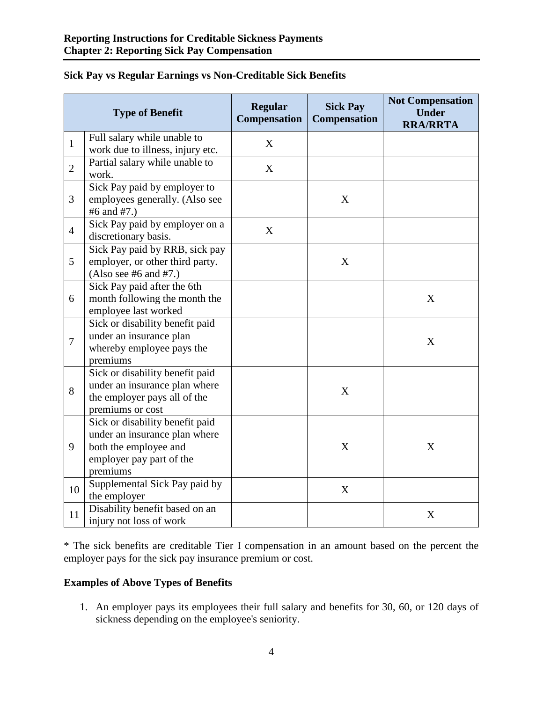|                | <b>Type of Benefit</b>                                                                                                            | <b>Regular</b><br><b>Compensation</b> | <b>Sick Pay</b><br><b>Compensation</b> | <b>Not Compensation</b><br><b>Under</b><br><b>RRA/RRTA</b> |
|----------------|-----------------------------------------------------------------------------------------------------------------------------------|---------------------------------------|----------------------------------------|------------------------------------------------------------|
| $\mathbf{1}$   | Full salary while unable to<br>work due to illness, injury etc.                                                                   | X                                     |                                        |                                                            |
| $\overline{2}$ | Partial salary while unable to<br>work.                                                                                           | X                                     |                                        |                                                            |
| 3              | Sick Pay paid by employer to<br>employees generally. (Also see<br>#6 and #7.)                                                     |                                       | X                                      |                                                            |
| $\overline{4}$ | Sick Pay paid by employer on a<br>discretionary basis.                                                                            | X                                     |                                        |                                                            |
| 5              | Sick Pay paid by RRB, sick pay<br>employer, or other third party.<br>(Also see #6 and #7.)                                        |                                       | X                                      |                                                            |
| 6              | Sick Pay paid after the 6th<br>month following the month the<br>employee last worked                                              |                                       |                                        | X                                                          |
| $\overline{7}$ | Sick or disability benefit paid<br>under an insurance plan<br>whereby employee pays the<br>premiums                               |                                       |                                        | X                                                          |
| 8              | Sick or disability benefit paid<br>under an insurance plan where<br>the employer pays all of the<br>premiums or cost              |                                       | X                                      |                                                            |
| 9              | Sick or disability benefit paid<br>under an insurance plan where<br>both the employee and<br>employer pay part of the<br>premiums |                                       | X                                      | X                                                          |
| 10             | Supplemental Sick Pay paid by<br>the employer                                                                                     |                                       | X                                      |                                                            |
| 11             | Disability benefit based on an<br>injury not loss of work                                                                         |                                       |                                        | X                                                          |

# **Sick Pay vs Regular Earnings vs Non-Creditable Sick Benefits**

\* The sick benefits are creditable Tier I compensation in an amount based on the percent the employer pays for the sick pay insurance premium or cost.

# **Examples of Above Types of Benefits**

1. An employer pays its employees their full salary and benefits for 30, 60, or 120 days of sickness depending on the employee's seniority.